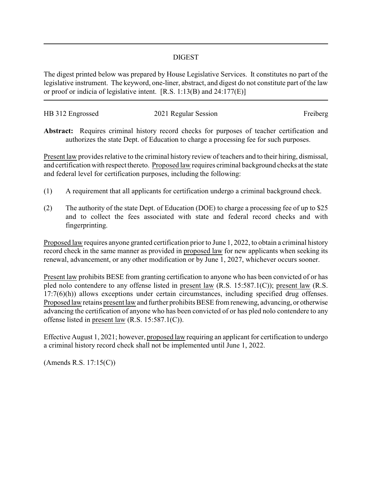## DIGEST

The digest printed below was prepared by House Legislative Services. It constitutes no part of the legislative instrument. The keyword, one-liner, abstract, and digest do not constitute part of the law or proof or indicia of legislative intent. [R.S. 1:13(B) and 24:177(E)]

| HB 312 Engrossed | 2021 Regular Session | Freiberg |
|------------------|----------------------|----------|
|                  |                      |          |

**Abstract:** Requires criminal history record checks for purposes of teacher certification and authorizes the state Dept. of Education to charge a processing fee for such purposes.

Present law provides relative to the criminal history review of teachers and to their hiring, dismissal, and certification with respect thereto. Proposed law requires criminal background checks at the state and federal level for certification purposes, including the following:

- (1) A requirement that all applicants for certification undergo a criminal background check.
- (2) The authority of the state Dept. of Education (DOE) to charge a processing fee of up to \$25 and to collect the fees associated with state and federal record checks and with fingerprinting.

Proposed law requires anyone granted certification prior to June 1, 2022, to obtain a criminal history record check in the same manner as provided in proposed law for new applicants when seeking its renewal, advancement, or any other modification or by June 1, 2027, whichever occurs sooner.

Present law prohibits BESE from granting certification to anyone who has been convicted of or has pled nolo contendere to any offense listed in present law (R.S. 15:587.1(C)); present law (R.S. 17:7(6)(h)) allows exceptions under certain circumstances, including specified drug offenses. Proposed law retains present law and further prohibits BESE from renewing, advancing, or otherwise advancing the certification of anyone who has been convicted of or has pled nolo contendere to any offense listed in present law (R.S. 15:587.1(C)).

Effective August 1, 2021; however, proposed law requiring an applicant for certification to undergo a criminal history record check shall not be implemented until June 1, 2022.

(Amends R.S. 17:15(C))